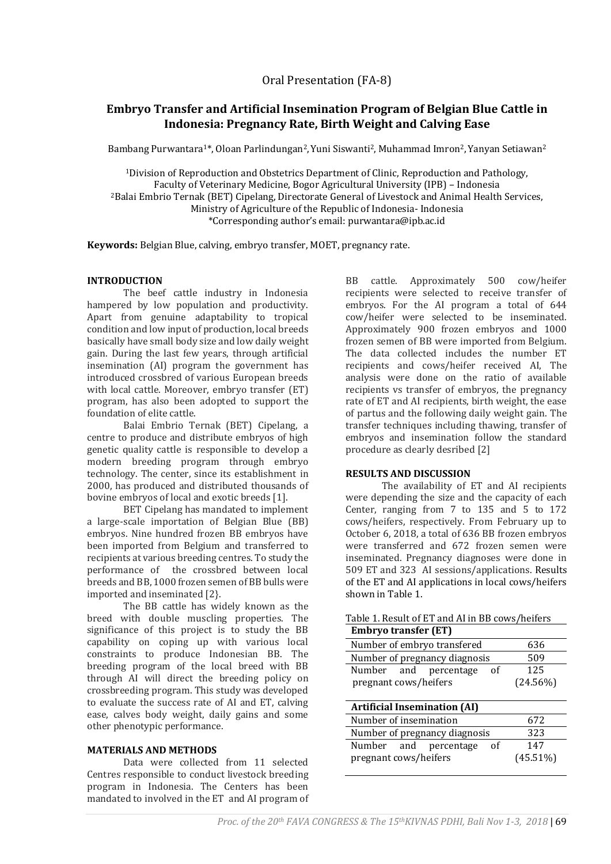# **Embryo Transfer and Artificial Insemination Program of Belgian Blue Cattle in Indonesia: Pregnancy Rate, Birth Weight and Calving Ease**

Bambang Purwantara<sup>1\*</sup>, Oloan Parlindungan<sup>2</sup>, Yuni Siswanti<sup>2</sup>, Muhammad Imron<sup>2</sup>, Yanyan Setiawan<sup>2</sup>

<sup>1</sup>Division of Reproduction and Obstetrics Department of Clinic, Reproduction and Pathology, Faculty of Veterinary Medicine, Bogor Agricultural University (IPB) – Indonesia <sup>2</sup>Balai Embrio Ternak (BET) Cipelang, Directorate General of Livestock and Animal Health Services, Ministry of Agriculture of the Republic of Indonesia- Indonesia \*Corresponding author's email: purwantara@ipb.ac.id

**Keywords:** Belgian Blue, calving, embryo transfer, MOET, pregnancy rate.

# **INTRODUCTION**

The beef cattle industry in Indonesia hampered by low population and productivity. Apart from genuine adaptability to tropical condition and low input of production, local breeds basically have small body size and low daily weight gain. During the last few years, through artificial insemination (AI) program the government has introduced crossbred of various European breeds with local cattle. Moreover, embryo transfer (ET) program, has also been adopted to support the foundation of elite cattle.

Balai Embrio Ternak (BET) Cipelang, a centre to produce and distribute embryos of high genetic quality cattle is responsible to develop a modern breeding program through embryo technology. The center, since its establishment in 2000, has produced and distributed thousands of bovine embryos of local and exotic breeds [1].

BET Cipelang has mandated to implement a large-scale importation of Belgian Blue (BB) embryos. Nine hundred frozen BB embryos have been imported from Belgium and transferred to recipients at various breeding centres. To study the performance of the crossbred between local breeds and BB, 1000 frozen semen of BB bulls were imported and inseminated [2}.

The BB cattle has widely known as the breed with double muscling properties. The significance of this project is to study the BB capability on coping up with various local constraints to produce Indonesian BB. The breeding program of the local breed with BB through AI will direct the breeding policy on crossbreeding program. This study was developed to evaluate the success rate of AI and ET, calving ease, calves body weight, daily gains and some other phenotypic performance.

# **MATERIALS AND METHODS**

Data were collected from 11 selected Centres responsible to conduct livestock breeding program in Indonesia. The Centers has been mandated to involved in the ET and AI program of

BB cattle. Approximately 500 cow/heifer recipients were selected to receive transfer of embryos. For the AI program a total of 644 cow/heifer were selected to be inseminated. Approximately 900 frozen embryos and 1000 frozen semen of BB were imported from Belgium. The data collected includes the number ET recipients and cows/heifer received AI, The analysis were done on the ratio of available recipients vs transfer of embryos, the pregnancy rate of ET and AI recipients, birth weight, the ease of partus and the following daily weight gain. The transfer techniques including thawing, transfer of embryos and insemination follow the standard procedure as clearly desribed [2]

# **RESULTS AND DISCUSSION**

The availability of ET and AI recipients were depending the size and the capacity of each Center, ranging from 7 to 135 and 5 to 172 cows/heifers, respectively. From February up to October 6, 2018, a total of 636 BB frozen embryos were transferred and 672 frozen semen were inseminated. Pregnancy diagnoses were done in 509 ET and 323 AI sessions/applications. Results of the ET and AI applications in local cows/heifers shown in Table 1.

| rapic 1. Result of ET and he in DD cows/hencis |             |
|------------------------------------------------|-------------|
| <b>Embryo transfer (ET)</b>                    |             |
| Number of embryo transfered                    | 636         |
| Number of pregnancy diagnosis                  | 509         |
| Number and<br>percentage<br>οf                 | 125         |
| pregnant cows/heifers                          | $(24.56\%)$ |
|                                                |             |
| <b>Artificial Insemination (AI)</b>            |             |
| Number of insemination                         | 672         |
| Number of pregnancy diagnosis                  | 323         |
| Number and<br>percentage<br>οf                 | 147         |
| pregnant cows/heifers                          | $(45.51\%)$ |
|                                                |             |

# Table 1. Result of ET and AI in BB cows/heifers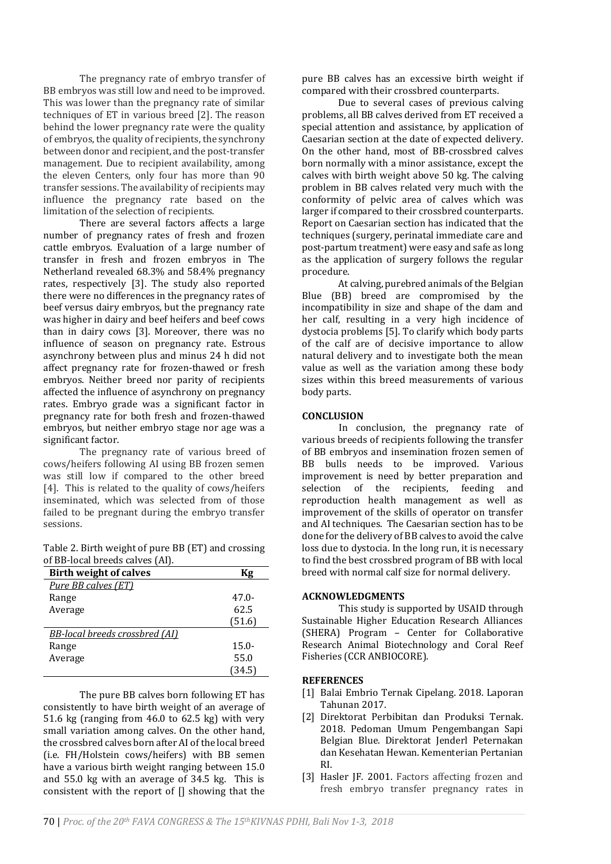The pregnancy rate of embryo transfer of BB embryos was still low and need to be improved. This was lower than the pregnancy rate of similar techniques of ET in various breed [2]. The reason behind the lower pregnancy rate were the quality of embryos, the quality of recipients, the synchrony between donor and recipient, and the post-transfer management. Due to recipient availability, among the eleven Centers, only four has more than 90 transfer sessions. The availability of recipients may influence the pregnancy rate based on the limitation of the selection of recipients.

There are several factors affects a large number of pregnancy rates of fresh and frozen cattle embryos. Evaluation of a large number of transfer in fresh and frozen embryos in The Netherland revealed 68.3% and 58.4% pregnancy rates, respectively [3]. The study also reported there were no differences in the pregnancy rates of beef versus dairy embryos, but the pregnancy rate was higher in dairy and beef heifers and beef cows than in dairy cows [3]. Moreover, there was no influence of season on pregnancy rate. Estrous asynchrony between plus and minus 24 h did not affect pregnancy rate for frozen-thawed or fresh embryos. Neither breed nor parity of recipients affected the influence of asynchrony on pregnancy rates. Embryo grade was a significant factor in pregnancy rate for both fresh and frozen-thawed embryos, but neither embryo stage nor age was a significant factor.

The pregnancy rate of various breed of cows/heifers following AI using BB frozen semen was still low if compared to the other breed [4]. This is related to the quality of cows/heifers inseminated, which was selected from of those failed to be pregnant during the embryo transfer sessions.

Table 2. Birth weight of pure BB (ET) and crossing of BB-local breeds calves (AI).

| <b>Birth weight of calves</b>         | Kg       |
|---------------------------------------|----------|
| Pure BB calves (ET)                   |          |
| Range                                 | $47.0-$  |
| Average                               | 62.5     |
|                                       | (51.6)   |
| <b>BB-local breeds crossbred (AI)</b> |          |
| Range                                 | $15.0 -$ |
| Average                               | 55.0     |
|                                       | (34.5)   |

The pure BB calves born following ET has consistently to have birth weight of an average of 51.6 kg (ranging from 46.0 to 62.5 kg) with very small variation among calves. On the other hand, the crossbred calves born after AI of the local breed (i.e. FH/Holstein cows/heifers) with BB semen have a various birth weight ranging between 15.0 and 55.0 kg with an average of 34.5 kg. This is consistent with the report of [] showing that the pure BB calves has an excessive birth weight if compared with their crossbred counterparts.

Due to several cases of previous calving problems, all BB calves derived from ET received a special attention and assistance, by application of Caesarian section at the date of expected delivery. On the other hand, most of BB-crossbred calves born normally with a minor assistance, except the calves with birth weight above 50 kg. The calving problem in BB calves related very much with the conformity of pelvic area of calves which was larger if compared to their crossbred counterparts. Report on Caesarian section has indicated that the techniques (surgery, perinatal immediate care and post-partum treatment) were easy and safe as long as the application of surgery follows the regular procedure.

At calving, purebred animals of the Belgian Blue (BB) breed are compromised by the incompatibility in size and shape of the dam and her calf, resulting in a very high incidence of dystocia problems [5]. To clarify which body parts of the calf are of decisive importance to allow natural delivery and to investigate both the mean value as well as the variation among these body sizes within this breed measurements of various body parts.

### **CONCLUSION**

In conclusion, the pregnancy rate of various breeds of recipients following the transfer of BB embryos and insemination frozen semen of BB bulls needs to be improved. Various improvement is need by better preparation and selection of the recipients, feeding and reproduction health management as well as improvement of the skills of operator on transfer and AI techniques. The Caesarian section has to be done for the delivery of BB calves to avoid the calve loss due to dystocia. In the long run, it is necessary to find the best crossbred program of BB with local breed with normal calf size for normal delivery.

### **ACKNOWLEDGMENTS**

This study is supported by USAID through Sustainable Higher Education Research Alliances (SHERA) Program – Center for Collaborative Research Animal Biotechnology and Coral Reef Fisheries (CCR ANBIOCORE).

### **REFERENCES**

- [1] Balai Embrio Ternak Cipelang. 2018. Laporan Tahunan 2017.
- [2] Direktorat Perbibitan dan Produksi Ternak. 2018. Pedoman Umum Pengembangan Sapi Belgian Blue. Direktorat Jenderl Peternakan dan Kesehatan Hewan. Kementerian Pertanian RI.
- [3] Hasler JF. 2001. Factors affecting frozen and fresh embryo transfer pregnancy rates in